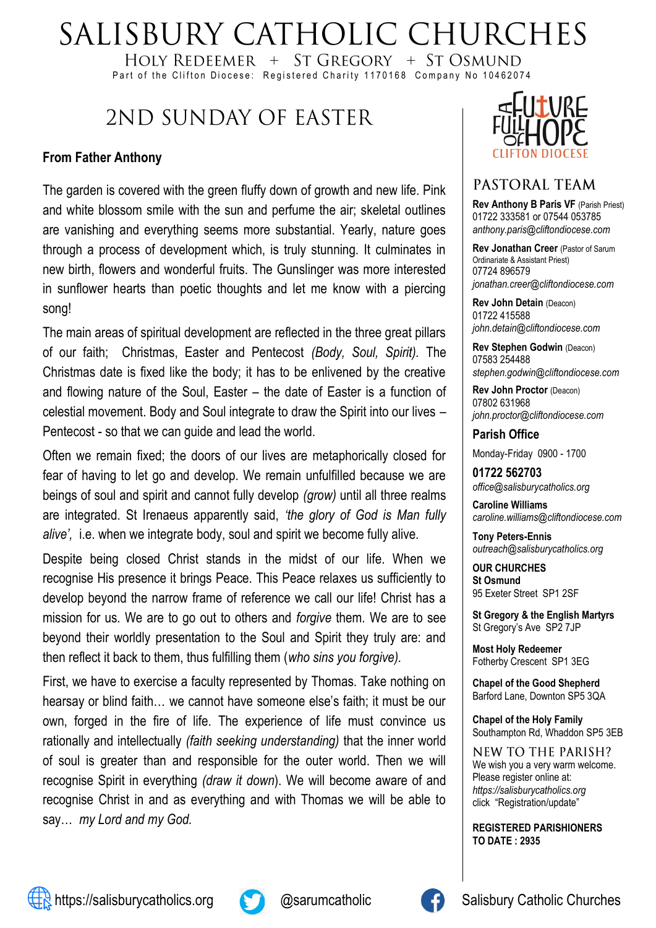# SALISBURY CATHOLIC CHURCHES

HOLY REDEEMER  $+$  ST GREGORY  $+$  ST OSMUND Part of the Clifton Diocese: Registered Charity 1170168 Company No 10462074

## 2ND SUNDAY OF FASTER

### **From Father Anthony**

The garden is covered with the green fluffy down of growth and new life. Pink and white blossom smile with the sun and perfume the air; skeletal outlines are vanishing and everything seems more substantial. Yearly, nature goes through a process of development which, is truly stunning. It culminates in new birth, flowers and wonderful fruits. The Gunslinger was more interested in sunflower hearts than poetic thoughts and let me know with a piercing song!

The main areas of spiritual development are reflected in the three great pillars of our faith; Christmas, Easter and Pentecost *(Body, Soul, Spirit).* The Christmas date is fixed like the body; it has to be enlivened by the creative and flowing nature of the Soul, Easter – the date of Easter is a function of celestial movement. Body and Soul integrate to draw the Spirit into our lives – Pentecost - so that we can guide and lead the world.

Often we remain fixed; the doors of our lives are metaphorically closed for fear of having to let go and develop. We remain unfulfilled because we are beings of soul and spirit and cannot fully develop *(grow)* until all three realms are integrated. St Irenaeus apparently said, *'the glory of God is Man fully alive',* i.e. when we integrate body, soul and spirit we become fully alive.

Despite being closed Christ stands in the midst of our life. When we recognise His presence it brings Peace. This Peace relaxes us sufficiently to develop beyond the narrow frame of reference we call our life! Christ has a mission for us. We are to go out to others and *forgive* them. We are to see beyond their worldly presentation to the Soul and Spirit they truly are: and then reflect it back to them, thus fulfilling them (*who sins you forgive).*

First, we have to exercise a faculty represented by Thomas. Take nothing on hearsay or blind faith… we cannot have someone else's faith; it must be our own, forged in the fire of life. The experience of life must convince us rationally and intellectually *(faith seeking understanding)* that the inner world of soul is greater than and responsible for the outer world. Then we will recognise Spirit in everything *(draw it down*). We will become aware of and recognise Christ in and as everything and with Thomas we will be able to say… *my Lord and my God.*



### PASTORAL TEAM

**Rev Anthony B Paris VF (Parish Priest)** 01722 333581 or 07544 053785 *anthony.paris@cliftondiocese.com*

**Rev Jonathan Creer** (Pastor of Sarum Ordinariate & Assistant Priest) 07724 896579 *jonathan.creer@cliftondiocese.com*

**Rev John Detain** (Deacon) 01722 415588 *john.detain@cliftondiocese.com*

**Rev Stephen Godwin** (Deacon) 07583 254488 *stephen.godwin@cliftondiocese.com*

**Rev John Proctor** (Deacon) 07802 631968 *john.proctor@cliftondiocese.com*

**Parish Office** 

Monday-Friday 0900 - 1700

**01722 562703** *office@salisburycatholics.org*

**Caroline Williams** *caroline.williams@cliftondiocese.com*

**Tony Peters-Ennis** *outreach@salisburycatholics.org*

**OUR CHURCHES St Osmund** 95 Exeter Street SP1 2SF

**St Gregory & the English Martyrs** St Gregory's Ave SP2 7JP

**Most Holy Redeemer**  Fotherby Crescent SP1 3EG

**Chapel of the Good Shepherd** Barford Lane, Downton SP5 3QA

**Chapel of the Holy Family** Southampton Rd, Whaddon SP5 3EB

**NEW TO THE PARISH?** We wish you a very warm welcome. Please register online at: *[https://salisburycatholics.org](https://p1.pamis.co.uk/salisbury/onlined01cab)*  [click "Registration/update"](https://p1.pamis.co.uk/salisbury/onlined01cab) 

**REGISTERED PARISHIONERS TO DATE : 2935**



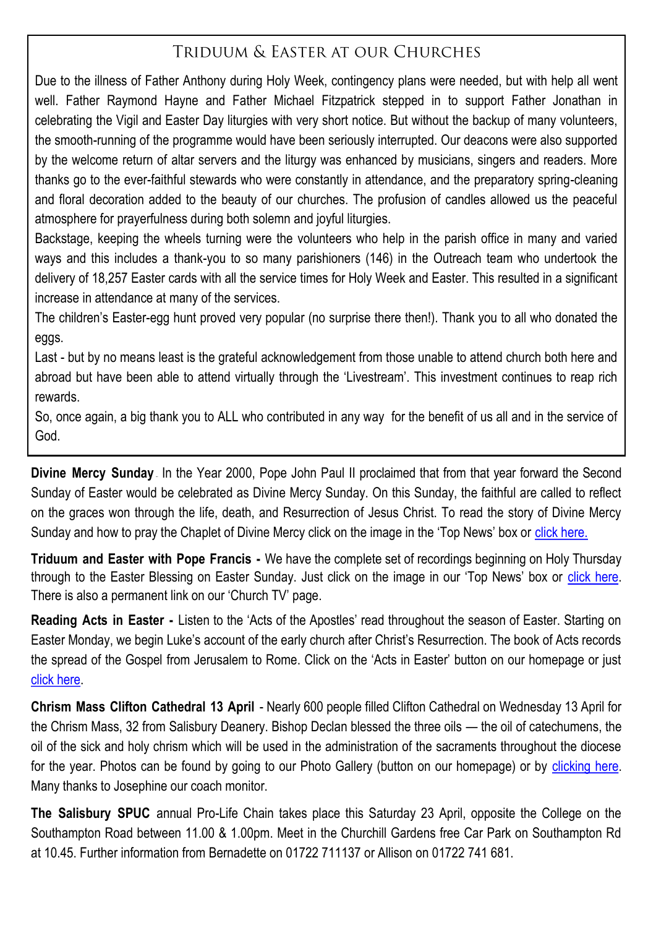### TRIDUUM & EASTER AT OUR CHURCHES

Due to the illness of Father Anthony during Holy Week, contingency plans were needed, but with help all went well. Father Raymond Hayne and Father Michael Fitzpatrick stepped in to support Father Jonathan in celebrating the Vigil and Easter Day liturgies with very short notice. But without the backup of many volunteers, the smooth-running of the programme would have been seriously interrupted. Our deacons were also supported by the welcome return of altar servers and the liturgy was enhanced by musicians, singers and readers. More thanks go to the ever-faithful stewards who were constantly in attendance, and the preparatory spring-cleaning and floral decoration added to the beauty of our churches. The profusion of candles allowed us the peaceful atmosphere for prayerfulness during both solemn and joyful liturgies.

Backstage, keeping the wheels turning were the volunteers who help in the parish office in many and varied ways and this includes a thank-you to so many parishioners (146) in the Outreach team who undertook the delivery of 18,257 Easter cards with all the service times for Holy Week and Easter. This resulted in a significant increase in attendance at many of the services.

The children's Easter-egg hunt proved very popular (no surprise there then!). Thank you to all who donated the eggs.

Last - but by no means least is the grateful acknowledgement from those unable to attend church both here and abroad but have been able to attend virtually through the 'Livestream'. This investment continues to reap rich rewards.

So, once again, a big thank you to ALL who contributed in any way for the benefit of us all and in the service of God.

**Divine Mercy Sunday** In the Year 2000, Pope John Paul II proclaimed that from that year forward the Second Sunday of Easter would be celebrated as Divine Mercy Sunday. On this Sunday, the faithful are called to reflect on the graces won through the life, death, and Resurrection of Jesus Christ. To read the story of Divine Mercy Sunday and how to pray the Chaplet of Divine Mercy click on the image in the 'Top News' box or [click here.](https://salisburycatholics.org/blog/divine-mercy-sunday)

**Triduum and Easter with Pope Francis -** We have the complete set of recordings beginning on Holy Thursday through to the Easter Blessing on Easter Sunday. Just click on the image in our 'Top News' box or [click here.](https://salisburycatholics.org/pope-francis-triduum-easter-2022)  There is also a permanent link on our 'Church TV' page.

**Reading Acts in Easter -** Listen to the 'Acts of the Apostles' read throughout the season of Easter. Starting on Easter Monday, we begin Luke's account of the early church after Christ's Resurrection. The book of Acts records the spread of the Gospel from Jerusalem to Rome. Click on the 'Acts in Easter' button on our homepage or just [click here.](https://salisburycatholics.org/acts-easter)

**Chrism Mass Clifton Cathedral 13 April** - Nearly 600 people filled Clifton Cathedral on Wednesday 13 April for the Chrism Mass, 32 from Salisbury Deanery. Bishop Declan blessed the three oils — the oil of catechumens, the oil of the sick and holy chrism which will be used in the administration of the sacraments throughout the diocese for the year. Photos can be found by going to our Photo Gallery (button on our homepage) or by clicking here. Many thanks to Josephine our coach monitor.

**The Salisbury SPUC** annual Pro-Life Chain takes place this Saturday 23 April, opposite the College on the Southampton Road between 11.00 & 1.00pm. Meet in the Churchill Gardens free Car Park on Southampton Rd at 10.45. Further information from Bernadette on 01722 711137 or Allison on 01722 741 681.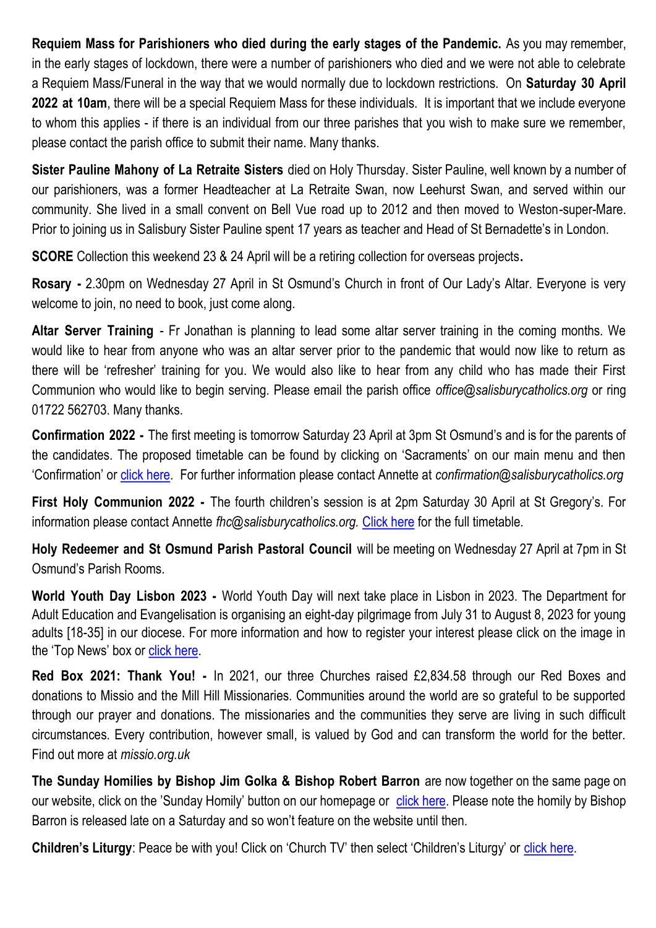**Requiem Mass for Parishioners who died during the early stages of the Pandemic.** As you may remember, in the early stages of lockdown, there were a number of parishioners who died and we were not able to celebrate a Requiem Mass/Funeral in the way that we would normally due to lockdown restrictions. On **Saturday 30 April 2022 at 10am**, there will be a special Requiem Mass for these individuals. It is important that we include everyone to whom this applies - if there is an individual from our three parishes that you wish to make sure we remember, please contact the parish office to submit their name. Many thanks.

**Sister Pauline Mahony of La Retraite Sisters** died on Holy Thursday. Sister Pauline, well known by a number of our parishioners, was a former Headteacher at La Retraite Swan, now Leehurst Swan, and served within our community. She lived in a small convent on Bell Vue road up to 2012 and then moved to Weston-super-Mare. Prior to joining us in Salisbury Sister Pauline spent 17 years as teacher and Head of St Bernadette's in London.

**SCORE** Collection this weekend 23 & 24 April will be a retiring collection for overseas projects**.**

**Rosary -** 2.30pm on Wednesday 27 April in St Osmund's Church in front of Our Lady's Altar. Everyone is very welcome to join, no need to book, just come along.

**Altar Server Training** - Fr Jonathan is planning to lead some altar server training in the coming months. We would like to hear from anyone who was an altar server prior to the pandemic that would now like to return as there will be 'refresher' training for you. We would also like to hear from any child who has made their First Communion who would like to begin serving. Please email the parish office *office@salisburycatholics.org* or ring 01722 562703. Many thanks.

**Confirmation 2022 -** The first meeting is tomorrow Saturday 23 April at 3pm St Osmund's and is for the parents of the candidates. The proposed timetable can be found by clicking on 'Sacraments' on our main menu and then 'Confirmation' or [click here.](https://salisburycatholics.org/confirmation) For further information please contact Annette at *confirmation@salisburycatholics.org*

**First Holy Communion 2022 -** The fourth children's session is at 2pm Saturday 30 April at St Gregory's. For information please contact Annette *fhc@salisburycatholics.org.* [Click here](https://salisburycatholics.org/holy-communion) for the full timetable*.*

**Holy Redeemer and St Osmund Parish Pastoral Council** will be meeting on Wednesday 27 April at 7pm in St Osmund's Parish Rooms.

**World Youth Day Lisbon 2023 -** World Youth Day will next take place in Lisbon in 2023. The Department for Adult Education and Evangelisation is organising an eight-day pilgrimage from July 31 to August 8, 2023 for young adults [18-35] in our diocese. For more information and how to register your interest please click on the image in the 'Top News' box or [click here.](https://salisburycatholics.org/blog/world-youth-day-lisbon-2023)

**Red Box 2021: Thank You! -** In 2021, our three Churches raised £2,834.58 through our Red Boxes and donations to Missio and the Mill Hill Missionaries. Communities around the world are so grateful to be supported through our prayer and donations. The missionaries and the communities they serve are living in such difficult circumstances. Every contribution, however small, is valued by God and can transform the world for the better. Find out more at *missio.org.uk*

**The Sunday Homilies by Bishop Jim Golka & Bishop Robert Barron** are now together on the same page on our website, click on the 'Sunday Homily' button on our homepage or [click here.](https://salisburycatholics.org/sunday-homily) Please note the homily by Bishop Barron is released late on a Saturday and so won't feature on the website until then.

**Children's Liturgy**: Peace be with you! Click on 'Church TV' then select 'Children's Liturgy' or [click here.](https://salisburycatholics.org/childrens-liturgy)